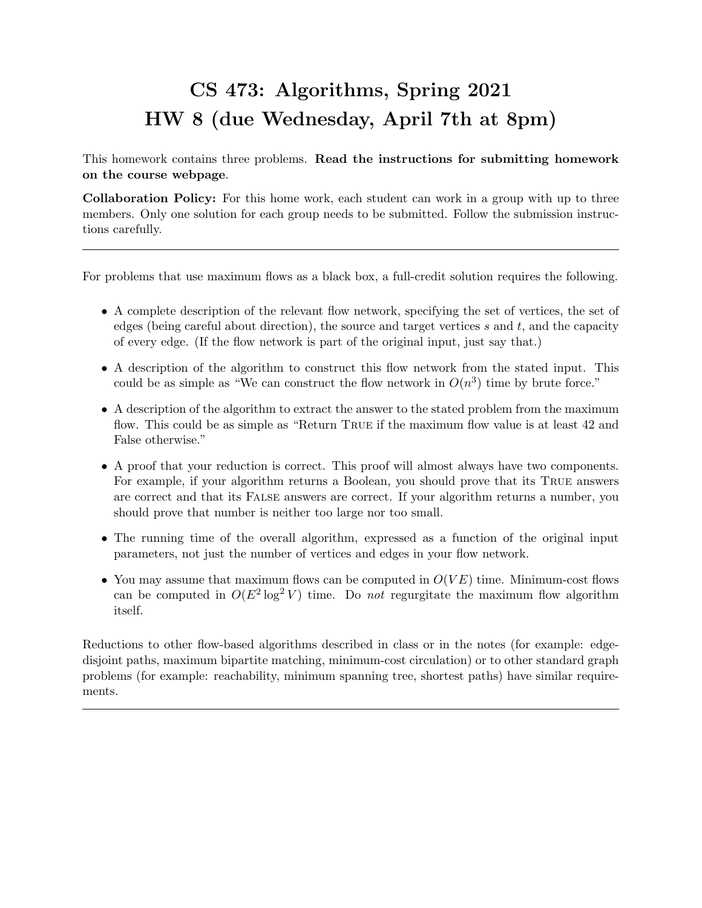## CS 473: Algorithms, Spring 2021 HW 8 (due Wednesday, April 7th at 8pm)

This homework contains three problems. Read the instructions for submitting homework on the course webpage.

Collaboration Policy: For this home work, each student can work in a group with up to three members. Only one solution for each group needs to be submitted. Follow the submission instructions carefully.

For problems that use maximum flows as a black box, a full-credit solution requires the following.

- A complete description of the relevant flow network, specifying the set of vertices, the set of edges (being careful about direction), the source and target vertices s and t, and the capacity of every edge. (If the flow network is part of the original input, just say that.)
- A description of the algorithm to construct this flow network from the stated input. This could be as simple as "We can construct the flow network in  $O(n^3)$  time by brute force."
- A description of the algorithm to extract the answer to the stated problem from the maximum flow. This could be as simple as "Return True if the maximum flow value is at least 42 and False otherwise."
- A proof that your reduction is correct. This proof will almost always have two components. For example, if your algorithm returns a Boolean, you should prove that its True answers are correct and that its False answers are correct. If your algorithm returns a number, you should prove that number is neither too large nor too small.
- The running time of the overall algorithm, expressed as a function of the original input parameters, not just the number of vertices and edges in your flow network.
- You may assume that maximum flows can be computed in  $O(VE)$  time. Minimum-cost flows can be computed in  $O(E^2 \log^2 V)$  time. Do not regurgitate the maximum flow algorithm itself.

Reductions to other flow-based algorithms described in class or in the notes (for example: edgedisjoint paths, maximum bipartite matching, minimum-cost circulation) or to other standard graph problems (for example: reachability, minimum spanning tree, shortest paths) have similar requirements.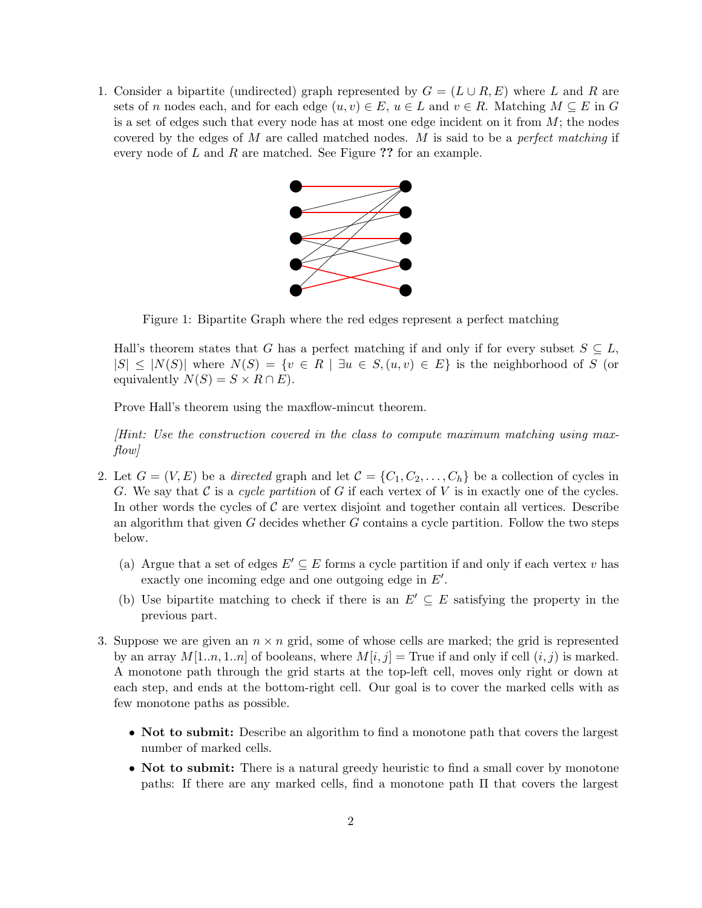1. Consider a bipartite (undirected) graph represented by  $G = (L \cup R, E)$  where L and R are sets of n nodes each, and for each edge  $(u, v) \in E$ ,  $u \in L$  and  $v \in R$ . Matching  $M \subseteq E$  in G is a set of edges such that every node has at most one edge incident on it from  $M$ ; the nodes covered by the edges of  $M$  are called matched nodes.  $M$  is said to be a *perfect matching* if every node of  $L$  and  $R$  are matched. See Figure ?? for an example.



Figure 1: Bipartite Graph where the red edges represent a perfect matching

Hall's theorem states that G has a perfect matching if and only if for every subset  $S \subseteq L$ ,  $|S| \leq |N(S)|$  where  $N(S) = \{v \in R \mid \exists u \in S, (u, v) \in E\}$  is the neighborhood of S (or equivalently  $N(S) = S \times R \cap E$ .

Prove Hall's theorem using the maxflow-mincut theorem.

[Hint: Use the construction covered in the class to compute maximum matching using max $flow$ 

- 2. Let  $G = (V, E)$  be a directed graph and let  $\mathcal{C} = \{C_1, C_2, \ldots, C_h\}$  be a collection of cycles in G. We say that  $\mathcal C$  is a cycle partition of G if each vertex of V is in exactly one of the cycles. In other words the cycles of  $\mathcal C$  are vertex disjoint and together contain all vertices. Describe an algorithm that given  $G$  decides whether  $G$  contains a cycle partition. Follow the two steps below.
	- (a) Argue that a set of edges  $E' \subseteq E$  forms a cycle partition if and only if each vertex v has exactly one incoming edge and one outgoing edge in  $E'$ .
	- (b) Use bipartite matching to check if there is an  $E' \subseteq E$  satisfying the property in the previous part.
- 3. Suppose we are given an  $n \times n$  grid, some of whose cells are marked; the grid is represented by an array  $M[1..n, 1..n]$  of booleans, where  $M[i, j]$  = True if and only if cell  $(i, j)$  is marked. A monotone path through the grid starts at the top-left cell, moves only right or down at each step, and ends at the bottom-right cell. Our goal is to cover the marked cells with as few monotone paths as possible.
	- Not to submit: Describe an algorithm to find a monotone path that covers the largest number of marked cells.
	- Not to submit: There is a natural greedy heuristic to find a small cover by monotone paths: If there are any marked cells, find a monotone path Π that covers the largest